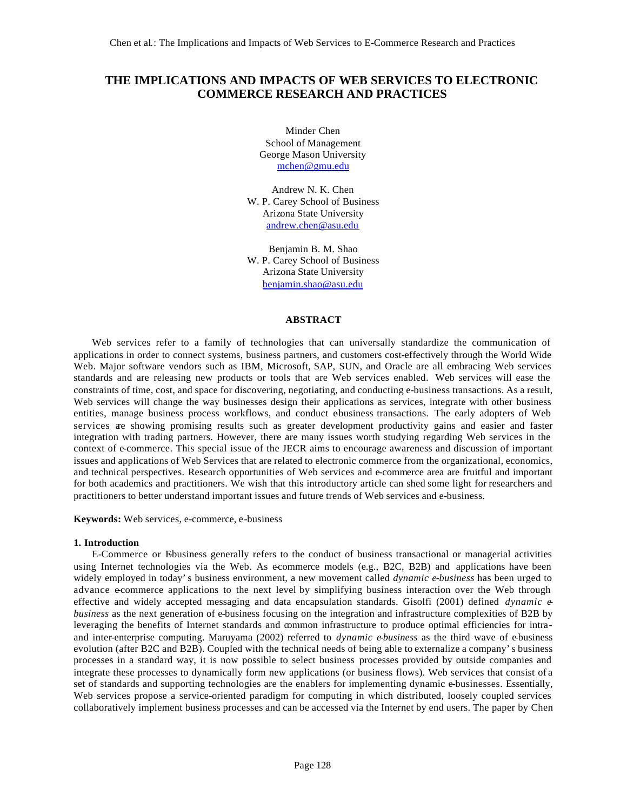# **THE IMPLICATIONS AND IMPACTS OF WEB SERVICES TO ELECTRONIC COMMERCE RESEARCH AND PRACTICES**

Minder Chen School of Management George Mason University mchen@gmu.edu

Andrew N. K. Chen W. P. Carey School of Business Arizona State University andrew.chen@asu.edu

Benjamin B. M. Shao W. P. Carey School of Business Arizona State University benjamin.shao@asu.edu

# **ABSTRACT**

Web services refer to a family of technologies that can universally standardize the communication of applications in order to connect systems, business partners, and customers cost-effectively through the World Wide Web. Major software vendors such as IBM, Microsoft, SAP, SUN, and Oracle are all embracing Web services standards and are releasing new products or tools that are Web services enabled. Web services will ease the constraints of time, cost, and space for discovering, negotiating, and conducting e-business transactions. As a result, Web services will change the way businesses design their applications as services, integrate with other business entities, manage business process workflows, and conduct e-business transactions. The early adopters of Web services are showing promising results such as greater development productivity gains and easier and faster integration with trading partners. However, there are many issues worth studying regarding Web services in the context of e-commerce. This special issue of the JECR aims to encourage awareness and discussion of important issues and applications of Web Services that are related to electronic commerce from the organizational, economics, and technical perspectives. Research opportunities of Web services and e-commerce area are fruitful and important for both academics and practitioners. We wish that this introductory article can shed some light for researchers and practitioners to better understand important issues and future trends of Web services and e-business.

**Keywords:** Web services, e-commerce, e-business

## **1. Introduction**

E-Commerce or Ebusiness generally refers to the conduct of business transactional or managerial activities using Internet technologies via the Web. As ecommerce models (e.g., B2C, B2B) and applications have been widely employed in today's business environment, a new movement called *dynamic e-business* has been urged to advance e-commerce applications to the next level by simplifying business interaction over the Web through effective and widely accepted messaging and data encapsulation standards. Gisolfi (2001) defined *dynamic ebusiness* as the next generation of e-business focusing on the integration and infrastructure complexities of B2B by leveraging the benefits of Internet standards and common infrastructure to produce optimal efficiencies for intraand inter-enterprise computing. Maruyama (2002) referred to *dynamic e-business* as the third wave of e-business evolution (after B2C and B2B). Coupled with the technical needs of being able to externalize a company's business processes in a standard way, it is now possible to select business processes provided by outside companies and integrate these processes to dynamically form new applications (or business flows). Web services that consist of a set of standards and supporting technologies are the enablers for implementing dynamic e-businesses. Essentially, Web services propose a service-oriented paradigm for computing in which distributed, loosely coupled services collaboratively implement business processes and can be accessed via the Internet by end users. The paper by Chen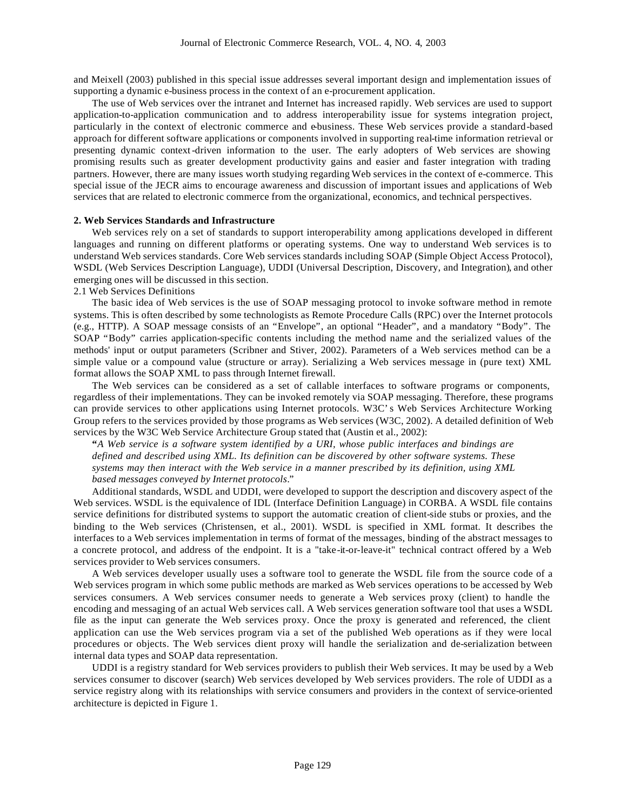and Meixell (2003) published in this special issue addresses several important design and implementation issues of supporting a dynamic e-business process in the context of an e-procurement application.

The use of Web services over the intranet and Internet has increased rapidly. Web services are used to support application-to-application communication and to address interoperability issue for systems integration project, particularly in the context of electronic commerce and e-business. These Web services provide a standard-based approach for different software applications or components involved in supporting real-time information retrieval or presenting dynamic context-driven information to the user. The early adopters of Web services are showing promising results such as greater development productivity gains and easier and faster integration with trading partners. However, there are many issues worth studying regarding Web services in the context of e-commerce. This special issue of the JECR aims to encourage awareness and discussion of important issues and applications of Web services that are related to electronic commerce from the organizational, economics, and technical perspectives.

### **2. Web Services Standards and Infrastructure**

Web services rely on a set of standards to support interoperability among applications developed in different languages and running on different platforms or operating systems. One way to understand Web services is to understand Web services standards. Core Web services standards including SOAP (Simple Object Access Protocol), WSDL (Web Services Description Language), UDDI (Universal Description, Discovery, and Integration), and other emerging ones will be discussed in this section.

2.1 Web Services Definitions

The basic idea of Web services is the use of SOAP messaging protocol to invoke software method in remote systems. This is often described by some technologists as Remote Procedure Calls (RPC) over the Internet protocols (e.g., HTTP). A SOAP message consists of an "Envelope", an optional "Header", and a mandatory "Body". The SOAP "Body" carries application-specific contents including the method name and the serialized values of the methods' input or output parameters (Scribner and Stiver, 2002). Parameters of a Web services method can be a simple value or a compound value (structure or array). Serializing a Web services message in (pure text) XML format allows the SOAP XML to pass through Internet firewall.

The Web services can be considered as a set of callable interfaces to software programs or components, regardless of their implementations. They can be invoked remotely via SOAP messaging. Therefore, these programs can provide services to other applications using Internet protocols. W3C's Web Services Architecture Working Group refers to the services provided by those programs as Web services (W3C, 2002). A detailed definition of Web services by the W3C Web Service Architecture Group stated that (Austin et al., 2002):

**"***A Web service is a software system identified by a URI, whose public interfaces and bindings are defined and described using XML. Its definition can be discovered by other software systems. These systems may then interact with the Web service in a manner prescribed by its definition, using XML based messages conveyed by Internet protocols*."

Additional standards, WSDL and UDDI, were developed to support the description and discovery aspect of the Web services. WSDL is the equivalence of IDL (Interface Definition Language) in CORBA. A WSDL file contains service definitions for distributed systems to support the automatic creation of client-side stubs or proxies, and the binding to the Web services (Christensen, et al., 2001). WSDL is specified in XML format. It describes the interfaces to a Web services implementation in terms of format of the messages, binding of the abstract messages to a concrete protocol, and address of the endpoint. It is a "take-it-or-leave-it" technical contract offered by a Web services provider to Web services consumers.

A Web services developer usually uses a software tool to generate the WSDL file from the source code of a Web services program in which some public methods are marked as Web services operations to be accessed by Web services consumers. A Web services consumer needs to generate a Web services proxy (client) to handle the encoding and messaging of an actual Web services call. A Web services generation software tool that uses a WSDL file as the input can generate the Web services proxy. Once the proxy is generated and referenced, the client application can use the Web services program via a set of the published Web operations as if they were local procedures or objects. The Web services client proxy will handle the serialization and de-serialization between internal data types and SOAP data representation.

UDDI is a registry standard for Web services providers to publish their Web services. It may be used by a Web services consumer to discover (search) Web services developed by Web services providers. The role of UDDI as a service registry along with its relationships with service consumers and providers in the context of service-oriented architecture is depicted in Figure 1.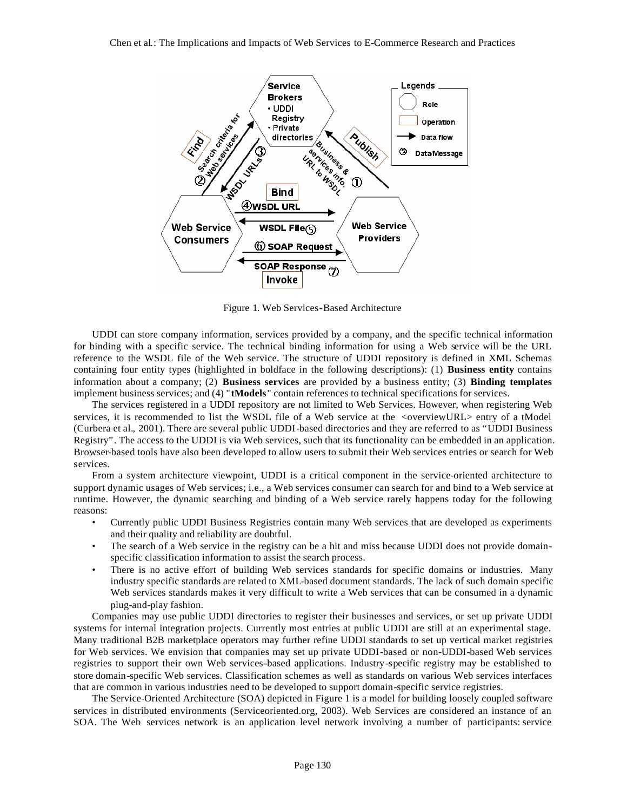

Figure 1. Web Services-Based Architecture

UDDI can store company information, services provided by a company, and the specific technical information for binding with a specific service. The technical binding information for using a Web service will be the URL reference to the WSDL file of the Web service. The structure of UDDI repository is defined in XML Schemas containing four entity types (highlighted in boldface in the following descriptions): (1) **Business entity** contains information about a company; (2) **Business services** are provided by a business entity; (3) **Binding templates** implement business services; and (4) "**tModels**" contain references to technical specifications for services.

The services registered in a UDDI repository are not limited to Web Services. However, when registering Web services, it is recommended to list the WSDL file of a Web service at the <overviewURL> entry of a tModel (Curbera et al., 2001). There are several public UDDI-based directories and they are referred to as "UDDI Business Registry". The access to the UDDI is via Web services, such that its functionality can be embedded in an application. Browser-based tools have also been developed to allow users to submit their Web services entries or search for Web services.

From a system architecture viewpoint, UDDI is a critical component in the service-oriented architecture to support dynamic usages of Web services; i.e., a Web services consumer can search for and bind to a Web service at runtime. However, the dynamic searching and binding of a Web service rarely happens today for the following reasons:

- Currently public UDDI Business Registries contain many Web services that are developed as experiments and their quality and reliability are doubtful.
- The search of a Web service in the registry can be a hit and miss because UDDI does not provide domainspecific classification information to assist the search process.
- There is no active effort of building Web services standards for specific domains or industries. Many industry specific standards are related to XML-based document standards. The lack of such domain specific Web services standards makes it very difficult to write a Web services that can be consumed in a dynamic plug-and-play fashion.

Companies may use public UDDI directories to register their businesses and services, or set up private UDDI systems for internal integration projects. Currently most entries at public UDDI are still at an experimental stage. Many traditional B2B marketplace operators may further refine UDDI standards to set up vertical market registries for Web services. We envision that companies may set up private UDDI-based or non-UDDI-based Web services registries to support their own Web services-based applications. Industry-specific registry may be established to store domain-specific Web services. Classification schemes as well as standards on various Web services interfaces that are common in various industries need to be developed to support domain-specific service registries.

The Service-Oriented Architecture (SOA) depicted in Figure 1 is a model for building loosely coupled software services in distributed environments (Serviceoriented.org, 2003). Web Services are considered an instance of an SOA. The Web services network is an application level network involving a number of participants: service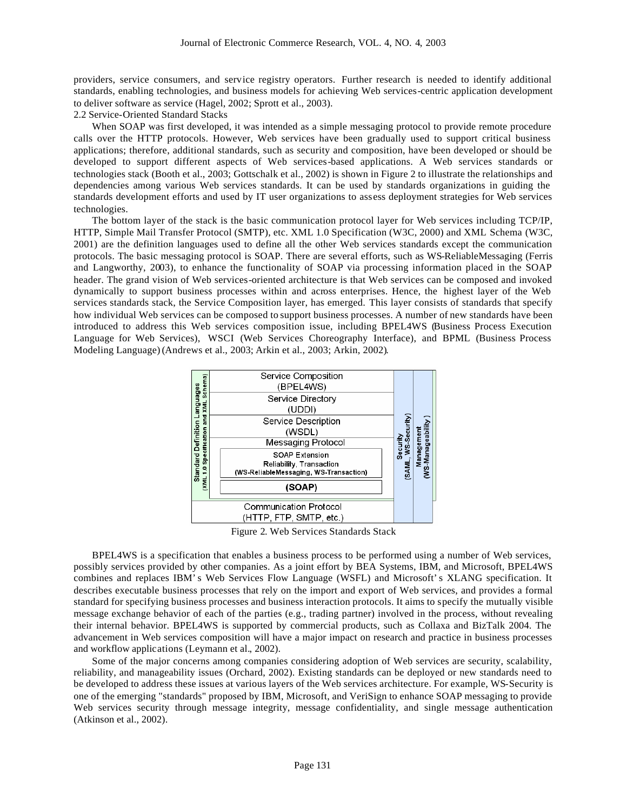providers, service consumers, and service registry operators. Further research is needed to identify additional standards, enabling technologies, and business models for achieving Web services-centric application development to deliver software as service (Hagel, 2002; Sprott et al., 2003).

2.2 Service-Oriented Standard Stacks

When SOAP was first developed, it was intended as a simple messaging protocol to provide remote procedure calls over the HTTP protocols. However, Web services have been gradually used to support critical business applications; therefore, additional standards, such as security and composition, have been developed or should be developed to support different aspects of Web services-based applications. A Web services standards or technologies stack (Booth et al., 2003; Gottschalk et al., 2002) is shown in Figure 2 to illustrate the relationships and dependencies among various Web services standards. It can be used by standards organizations in guiding the standards development efforts and used by IT user organizations to assess deployment strategies for Web services technologies.

The bottom layer of the stack is the basic communication protocol layer for Web services including TCP/IP, HTTP, Simple Mail Transfer Protocol (SMTP), etc. XML 1.0 Specification (W3C, 2000) and XML Schema (W3C, 2001) are the definition languages used to define all the other Web services standards except the communication protocols. The basic messaging protocol is SOAP. There are several efforts, such as WS-ReliableMessaging (Ferris and Langworthy, 2003), to enhance the functionality of SOAP via processing information placed in the SOAP header. The grand vision of Web services-oriented architecture is that Web services can be composed and invoked dynamically to support business processes within and across enterprises. Hence, the highest layer of the Web services standards stack, the Service Composition layer, has emerged. This layer consists of standards that specify how individual Web services can be composed to support business processes. A number of new standards have been introduced to address this Web services composition issue, including BPEL4WS (Business Process Execution Language for Web Services), WSCI (Web Services Choreography Interface), and BPML (Business Process Modeling Language) (Andrews et al., 2003; Arkin et al., 2003; Arkin, 2002).



Figure 2. Web Services Standards Stack

BPEL4WS is a specification that enables a business process to be performed using a number of Web services, possibly services provided by other companies. As a joint effort by BEA Systems, IBM, and Microsoft, BPEL4WS combines and replaces IBM's Web Services Flow Language (WSFL) and Microsoft's XLANG specification. It describes executable business processes that rely on the import and export of Web services, and provides a formal standard for specifying business processes and business interaction protocols. It aims to specify the mutually visible message exchange behavior of each of the parties (e.g., trading partner) involved in the process, without revealing their internal behavior. BPEL4WS is supported by commercial products, such as Collaxa and BizTalk 2004. The advancement in Web services composition will have a major impact on research and practice in business processes and workflow applications (Leymann et al., 2002).

Some of the major concerns among companies considering adoption of Web services are security, scalability, reliability, and manageability issues (Orchard, 2002). Existing standards can be deployed or new standards need to be developed to address these issues at various layers of the Web services architecture. For example, WS-Security is one of the emerging "standards" proposed by IBM, Microsoft, and VeriSign to enhance SOAP messaging to provide Web services security through message integrity, message confidentiality, and single message authentication (Atkinson et al., 2002).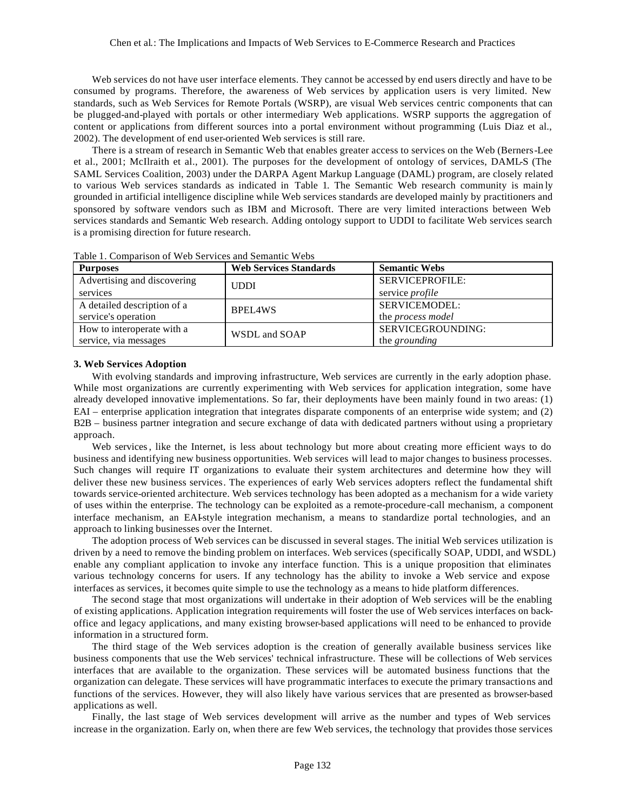Web services do not have user interface elements. They cannot be accessed by end users directly and have to be consumed by programs. Therefore, the awareness of Web services by application users is very limited. New standards, such as Web Services for Remote Portals (WSRP), are visual Web services centric components that can be plugged-and-played with portals or other intermediary Web applications. WSRP supports the aggregation of content or applications from different sources into a portal environment without programming (Luis Diaz et al., 2002). The development of end user-oriented Web services is still rare.

There is a stream of research in Semantic Web that enables greater access to services on the Web (Berners-Lee et al., 2001; McIlraith et al., 2001). The purposes for the development of ontology of services, DAML-S (The SAML Services Coalition, 2003) under the DARPA Agent Markup Language (DAML) program, are closely related to various Web services standards as indicated in Table 1. The Semantic Web research community is main ly grounded in artificial intelligence discipline while Web services standards are developed mainly by practitioners and sponsored by software vendors such as IBM and Microsoft. There are very limited interactions between Web services standards and Semantic Web research. Adding ontology support to UDDI to facilitate Web services search is a promising direction for future research.

| <b>Purposes</b>             | <b>Web Services Standards</b> | <b>Semantic Webs</b>     |
|-----------------------------|-------------------------------|--------------------------|
| Advertising and discovering | <b>UDDI</b>                   | <b>SERVICEPROFILE:</b>   |
| services                    |                               | service <i>profile</i>   |
| A detailed description of a | BPEL4WS                       | SERVICEMODEL:            |
| service's operation         |                               | the <i>process</i> model |
| How to interoperate with a  | WSDL and SOAP                 | SERVICEGROUNDING:        |
| service, via messages       |                               | the <i>grounding</i>     |

Table 1. Comparison of Web Services and Semantic Webs

## **3. Web Services Adoption**

With evolving standards and improving infrastructure, Web services are currently in the early adoption phase. While most organizations are currently experimenting with Web services for application integration, some have already developed innovative implementations. So far, their deployments have been mainly found in two areas: (1) EAI – enterprise application integration that integrates disparate components of an enterprise wide system; and (2) B2B – business partner integration and secure exchange of data with dedicated partners without using a proprietary approach.

Web services, like the Internet, is less about technology but more about creating more efficient ways to do business and identifying new business opportunities. Web services will lead to major changes to business processes. Such changes will require IT organizations to evaluate their system architectures and determine how they will deliver these new business services. The experiences of early Web services adopters reflect the fundamental shift towards service-oriented architecture. Web services technology has been adopted as a mechanism for a wide variety of uses within the enterprise. The technology can be exploited as a remote-procedure-call mechanism, a component interface mechanism, an EAI-style integration mechanism, a means to standardize portal technologies, and an approach to linking businesses over the Internet.

The adoption process of Web services can be discussed in several stages. The initial Web services utilization is driven by a need to remove the binding problem on interfaces. Web services (specifically SOAP, UDDI, and WSDL) enable any compliant application to invoke any interface function. This is a unique proposition that eliminates various technology concerns for users. If any technology has the ability to invoke a Web service and expose interfaces as services, it becomes quite simple to use the technology as a means to hide platform differences.

The second stage that most organizations will undertake in their adoption of Web services will be the enabling of existing applications. Application integration requirements will foster the use of Web services interfaces on backoffice and legacy applications, and many existing browser-based applications will need to be enhanced to provide information in a structured form.

The third stage of the Web services adoption is the creation of generally available business services like business components that use the Web services' technical infrastructure. These will be collections of Web services interfaces that are available to the organization. These services will be automated business functions that the organization can delegate. These services will have programmatic interfaces to execute the primary transactions and functions of the services. However, they will also likely have various services that are presented as browser-based applications as well.

Finally, the last stage of Web services development will arrive as the number and types of Web services increase in the organization. Early on, when there are few Web services, the technology that provides those services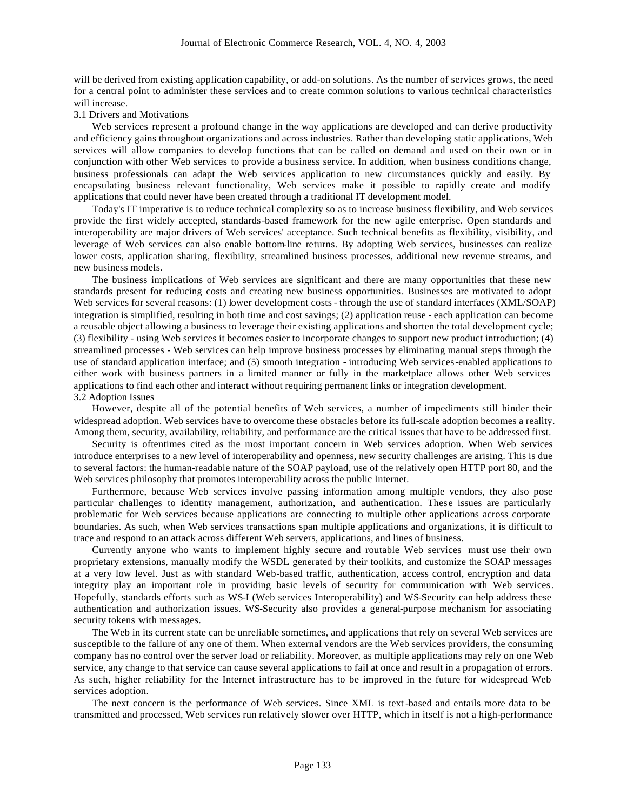will be derived from existing application capability, or add-on solutions. As the number of services grows, the need for a central point to administer these services and to create common solutions to various technical characteristics will increase.

#### 3.1 Drivers and Motivations

Web services represent a profound change in the way applications are developed and can derive productivity and efficiency gains throughout organizations and across industries. Rather than developing static applications, Web services will allow companies to develop functions that can be called on demand and used on their own or in conjunction with other Web services to provide a business service. In addition, when business conditions change, business professionals can adapt the Web services application to new circumstances quickly and easily. By encapsulating business relevant functionality, Web services make it possible to rapidly create and modify applications that could never have been created through a traditional IT development model.

Today's IT imperative is to reduce technical complexity so as to increase business flexibility, and Web services provide the first widely accepted, standards-based framework for the new agile enterprise. Open standards and interoperability are major drivers of Web services' acceptance. Such technical benefits as flexibility, visibility, and leverage of Web services can also enable bottom-line returns. By adopting Web services, businesses can realize lower costs, application sharing, flexibility, streamlined business processes, additional new revenue streams, and new business models.

The business implications of Web services are significant and there are many opportunities that these new standards present for reducing costs and creating new business opportunities. Businesses are motivated to adopt Web services for several reasons: (1) lower development costs - through the use of standard interfaces (XML/SOAP) integration is simplified, resulting in both time and cost savings; (2) application reuse - each application can become a reusable object allowing a business to leverage their existing applications and shorten the total development cycle; (3) flexibility - using Web services it becomes easier to incorporate changes to support new product introduction; (4) streamlined processes - Web services can help improve business processes by eliminating manual steps through the use of standard application interface; and (5) smooth integration - introducing Web services-enabled applications to either work with business partners in a limited manner or fully in the marketplace allows other Web services applications to find each other and interact without requiring permanent links or integration development. 3.2 Adoption Issues

However, despite all of the potential benefits of Web services, a number of impediments still hinder their widespread adoption. Web services have to overcome these obstacles before its full-scale adoption becomes a reality. Among them, security, availability, reliability, and performance are the critical issues that have to be addressed first.

Security is oftentimes cited as the most important concern in Web services adoption. When Web services introduce enterprises to a new level of interoperability and openness, new security challenges are arising. This is due to several factors: the human-readable nature of the SOAP payload, use of the relatively open HTTP port 80, and the Web services philosophy that promotes interoperability across the public Internet.

Furthermore, because Web services involve passing information among multiple vendors, they also pose particular challenges to identity management, authorization, and authentication. These issues are particularly problematic for Web services because applications are connecting to multiple other applications across corporate boundaries. As such, when Web services transactions span multiple applications and organizations, it is difficult to trace and respond to an attack across different Web servers, applications, and lines of business.

Currently anyone who wants to implement highly secure and routable Web services must use their own proprietary extensions, manually modify the WSDL generated by their toolkits, and customize the SOAP messages at a very low level. Just as with standard Web-based traffic, authentication, access control, encryption and data integrity play an important role in providing basic levels of security for communication with Web services. Hopefully, standards efforts such as WS-I (Web services Interoperability) and WS-Security can help address these authentication and authorization issues. WS-Security also provides a general-purpose mechanism for associating security tokens with messages.

The Web in its current state can be unreliable sometimes, and applications that rely on several Web services are susceptible to the failure of any one of them. When external vendors are the Web services providers, the consuming company has no control over the server load or reliability. Moreover, as multiple applications may rely on one Web service, any change to that service can cause several applications to fail at once and result in a propagation of errors. As such, higher reliability for the Internet infrastructure has to be improved in the future for widespread Web services adoption.

The next concern is the performance of Web services. Since XML is text-based and entails more data to be transmitted and processed, Web services run relatively slower over HTTP, which in itself is not a high-performance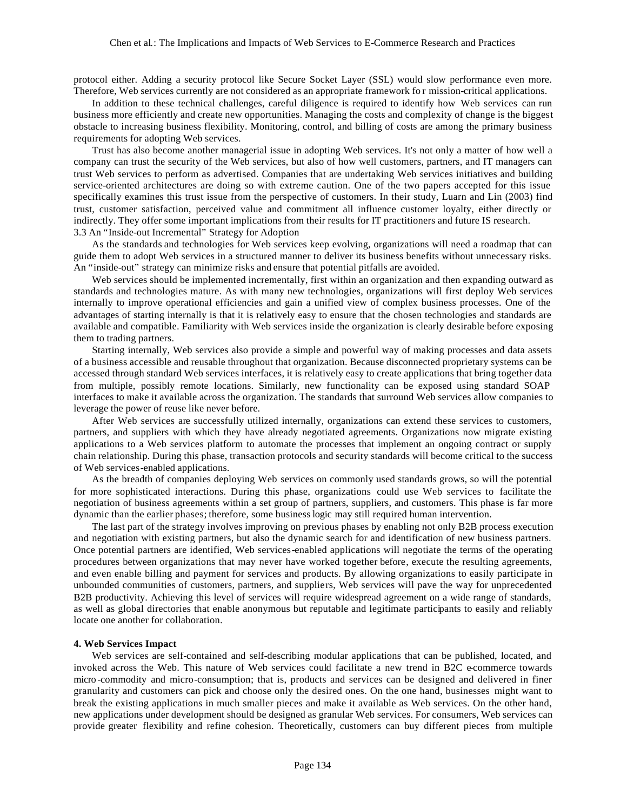protocol either. Adding a security protocol like Secure Socket Layer (SSL) would slow performance even more. Therefore, Web services currently are not considered as an appropriate framework fo r mission-critical applications.

In addition to these technical challenges, careful diligence is required to identify how Web services can run business more efficiently and create new opportunities. Managing the costs and complexity of change is the biggest obstacle to increasing business flexibility. Monitoring, control, and billing of costs are among the primary business requirements for adopting Web services.

Trust has also become another managerial issue in adopting Web services. It's not only a matter of how well a company can trust the security of the Web services, but also of how well customers, partners, and IT managers can trust Web services to perform as advertised. Companies that are undertaking Web services initiatives and building service-oriented architectures are doing so with extreme caution. One of the two papers accepted for this issue specifically examines this trust issue from the perspective of customers. In their study, Luarn and Lin (2003) find trust, customer satisfaction, perceived value and commitment all influence customer loyalty, either directly or indirectly. They offer some important implications from their results for IT practitioners and future IS research. 3.3 An "Inside-out Incremental" Strategy for Adoption

As the standards and technologies for Web services keep evolving, organizations will need a roadmap that can guide them to adopt Web services in a structured manner to deliver its business benefits without unnecessary risks. An "inside-out" strategy can minimize risks and ensure that potential pitfalls are avoided.

Web services should be implemented incrementally, first within an organization and then expanding outward as standards and technologies mature. As with many new technologies, organizations will first deploy Web services internally to improve operational efficiencies and gain a unified view of complex business processes. One of the advantages of starting internally is that it is relatively easy to ensure that the chosen technologies and standards are available and compatible. Familiarity with Web services inside the organization is clearly desirable before exposing them to trading partners.

Starting internally, Web services also provide a simple and powerful way of making processes and data assets of a business accessible and reusable throughout that organization. Because disconnected proprietary systems can be accessed through standard Web services interfaces, it is relatively easy to create applications that bring together data from multiple, possibly remote locations. Similarly, new functionality can be exposed using standard SOAP interfaces to make it available across the organization. The standards that surround Web services allow companies to leverage the power of reuse like never before.

After Web services are successfully utilized internally, organizations can extend these services to customers, partners, and suppliers with which they have already negotiated agreements. Organizations now migrate existing applications to a Web services platform to automate the processes that implement an ongoing contract or supply chain relationship. During this phase, transaction protocols and security standards will become critical to the success of Web services-enabled applications.

As the breadth of companies deploying Web services on commonly used standards grows, so will the potential for more sophisticated interactions. During this phase, organizations could use Web services to facilitate the negotiation of business agreements within a set group of partners, suppliers, and customers. This phase is far more dynamic than the earlier phases; therefore, some business logic may still required human intervention.

The last part of the strategy involves improving on previous phases by enabling not only B2B process execution and negotiation with existing partners, but also the dynamic search for and identification of new business partners. Once potential partners are identified, Web services-enabled applications will negotiate the terms of the operating procedures between organizations that may never have worked together before, execute the resulting agreements, and even enable billing and payment for services and products. By allowing organizations to easily participate in unbounded communities of customers, partners, and suppliers, Web services will pave the way for unprecedented B2B productivity. Achieving this level of services will require widespread agreement on a wide range of standards, as well as global directories that enable anonymous but reputable and legitimate participants to easily and reliably locate one another for collaboration.

#### **4. Web Services Impact**

Web services are self-contained and self-describing modular applications that can be published, located, and invoked across the Web. This nature of Web services could facilitate a new trend in B2C e-commerce towards micro -commodity and micro-consumption; that is, products and services can be designed and delivered in finer granularity and customers can pick and choose only the desired ones. On the one hand, businesses might want to break the existing applications in much smaller pieces and make it available as Web services. On the other hand, new applications under development should be designed as granular Web services. For consumers, Web services can provide greater flexibility and refine cohesion. Theoretically, customers can buy different pieces from multiple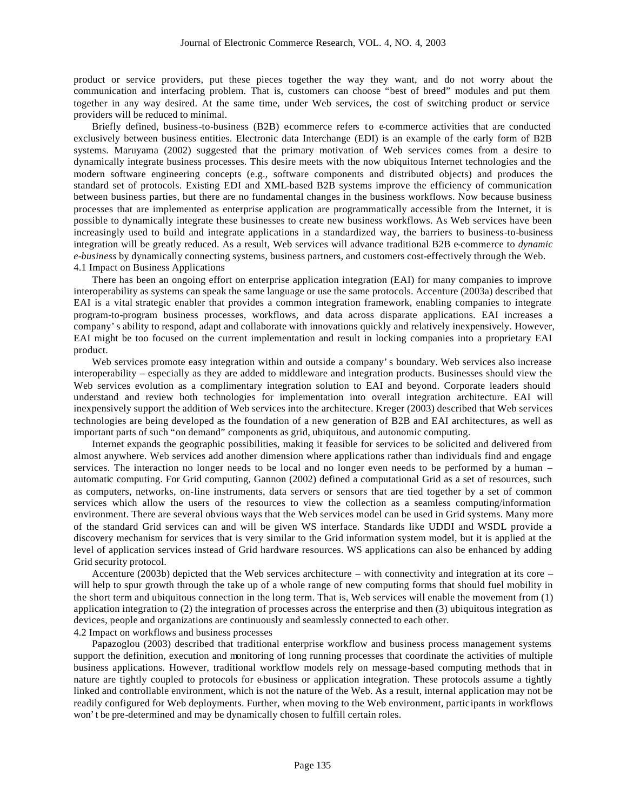product or service providers, put these pieces together the way they want, and do not worry about the communication and interfacing problem. That is, customers can choose "best of breed" modules and put them together in any way desired. At the same time, under Web services, the cost of switching product or service providers will be reduced to minimal.

Briefly defined, business-to-business (B2B) ecommerce refers to e-commerce activities that are conducted exclusively between business entities. Electronic data Interchange (EDI) is an example of the early form of B2B systems. Maruyama (2002) suggested that the primary motivation of Web services comes from a desire to dynamically integrate business processes. This desire meets with the now ubiquitous Internet technologies and the modern software engineering concepts (e.g., software components and distributed objects) and produces the standard set of protocols. Existing EDI and XML-based B2B systems improve the efficiency of communication between business parties, but there are no fundamental changes in the business workflows. Now because business processes that are implemented as enterprise application are programmatically accessible from the Internet, it is possible to dynamically integrate these businesses to create new business workflows. As Web services have been increasingly used to build and integrate applications in a standardized way, the barriers to business-to-business integration will be greatly reduced. As a result, Web services will advance traditional B2B e-commerce to *dynamic e-business* by dynamically connecting systems, business partners, and customers cost-effectively through the Web. 4.1 Impact on Business Applications

There has been an ongoing effort on enterprise application integration (EAI) for many companies to improve interoperability as systems can speak the same language or use the same protocols. Accenture (2003a) described that EAI is a vital strategic enabler that provides a common integration framework, enabling companies to integrate program-to-program business processes, workflows, and data across disparate applications. EAI increases a company's ability to respond, adapt and collaborate with innovations quickly and relatively inexpensively. However, EAI might be too focused on the current implementation and result in locking companies into a proprietary EAI product.

Web services promote easy integration within and outside a company's boundary. Web services also increase interoperability – especially as they are added to middleware and integration products. Businesses should view the Web services evolution as a complimentary integration solution to EAI and beyond. Corporate leaders should understand and review both technologies for implementation into overall integration architecture. EAI will inexpensively support the addition of Web services into the architecture. Kreger (2003) described that Web services technologies are being developed as the foundation of a new generation of B2B and EAI architectures, as well as important parts of such "on demand" components as grid, ubiquitous, and autonomic computing.

Internet expands the geographic possibilities, making it feasible for services to be solicited and delivered from almost anywhere. Web services add another dimension where applications rather than individuals find and engage services. The interaction no longer needs to be local and no longer even needs to be performed by a human – automatic computing. For Grid computing, Gannon (2002) defined a computational Grid as a set of resources, such as computers, networks, on-line instruments, data servers or sensors that are tied together by a set of common services which allow the users of the resources to view the collection as a seamless computing/information environment. There are several obvious ways that the Web services model can be used in Grid systems. Many more of the standard Grid services can and will be given WS interface. Standards like UDDI and WSDL provide a discovery mechanism for services that is very similar to the Grid information system model, but it is applied at the level of application services instead of Grid hardware resources. WS applications can also be enhanced by adding Grid security protocol.

Accenture (2003b) depicted that the Web services architecture – with connectivity and integration at its core – will help to spur growth through the take up of a whole range of new computing forms that should fuel mobility in the short term and ubiquitous connection in the long term. That is, Web services will enable the movement from (1) application integration to (2) the integration of processes across the enterprise and then (3) ubiquitous integration as devices, people and organizations are continuously and seamlessly connected to each other. 4.2 Impact on workflows and business processes

Papazoglou (2003) described that traditional enterprise workflow and business process management systems support the definition, execution and monitoring of long running processes that coordinate the activities of multiple business applications. However, traditional workflow models rely on message-based computing methods that in nature are tightly coupled to protocols for e-business or application integration. These protocols assume a tightly linked and controllable environment, which is not the nature of the Web. As a result, internal application may not be readily configured for Web deployments. Further, when moving to the Web environment, participants in workflows won't be pre-determined and may be dynamically chosen to fulfill certain roles.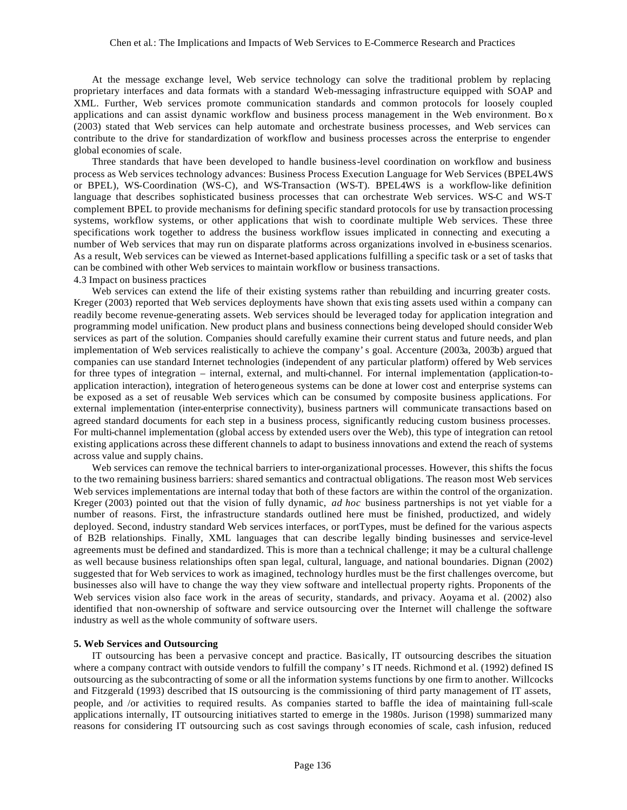At the message exchange level, Web service technology can solve the traditional problem by replacing proprietary interfaces and data formats with a standard Web-messaging infrastructure equipped with SOAP and XML. Further, Web services promote communication standards and common protocols for loosely coupled applications and can assist dynamic workflow and business process management in the Web environment. Bo x (2003) stated that Web services can help automate and orchestrate business processes, and Web services can contribute to the drive for standardization of workflow and business processes across the enterprise to engender global economies of scale.

Three standards that have been developed to handle business-level coordination on workflow and business process as Web services technology advances: Business Process Execution Language for Web Services (BPEL4WS or BPEL), WS-Coordination (WS-C), and WS-Transaction (WS-T). BPEL4WS is a workflow-like definition language that describes sophisticated business processes that can orchestrate Web services. WS-C and WS-T complement BPEL to provide mechanisms for defining specific standard protocols for use by transaction processing systems, workflow systems, or other applications that wish to coordinate multiple Web services. These three specifications work together to address the business workflow issues implicated in connecting and executing a number of Web services that may run on disparate platforms across organizations involved in e-business scenarios. As a result, Web services can be viewed as Internet-based applications fulfilling a specific task or a set of tasks that can be combined with other Web services to maintain workflow or business transactions. 4.3 Impact on business practices

Web services can extend the life of their existing systems rather than rebuilding and incurring greater costs. Kreger (2003) reported that Web services deployments have shown that existing assets used within a company can readily become revenue-generating assets. Web services should be leveraged today for application integration and programming model unification. New product plans and business connections being developed should consider Web services as part of the solution. Companies should carefully examine their current status and future needs, and plan implementation of Web services realistically to achieve the company's goal. Accenture (2003a, 2003b) argued that companies can use standard Internet technologies (independent of any particular platform) offered by Web services for three types of integration – internal, external, and multi-channel. For internal implementation (application-toapplication interaction), integration of heterogeneous systems can be done at lower cost and enterprise systems can be exposed as a set of reusable Web services which can be consumed by composite business applications. For external implementation (inter-enterprise connectivity), business partners will communicate transactions based on agreed standard documents for each step in a business process, significantly reducing custom business processes. For multi-channel implementation (global access by extended users over the Web), this type of integration can retool existing applications across these different channels to adapt to business innovations and extend the reach of systems across value and supply chains.

Web services can remove the technical barriers to inter-organizational processes. However, this shifts the focus to the two remaining business barriers: shared semantics and contractual obligations. The reason most Web services Web services implementations are internal today that both of these factors are within the control of the organization. Kreger (2003) pointed out that the vision of fully dynamic, *ad hoc* business partnerships is not yet viable for a number of reasons. First, the infrastructure standards outlined here must be finished, productized, and widely deployed. Second, industry standard Web services interfaces, or portTypes, must be defined for the various aspects of B2B relationships. Finally, XML languages that can describe legally binding businesses and service-level agreements must be defined and standardized. This is more than a technical challenge; it may be a cultural challenge as well because business relationships often span legal, cultural, language, and national boundaries. Dignan (2002) suggested that for Web services to work as imagined, technology hurdles must be the first challenges overcome, but businesses also will have to change the way they view software and intellectual property rights. Proponents of the Web services vision also face work in the areas of security, standards, and privacy. Aoyama et al. (2002) also identified that non-ownership of software and service outsourcing over the Internet will challenge the software industry as well as the whole community of software users.

### **5. Web Services and Outsourcing**

IT outsourcing has been a pervasive concept and practice. Basically, IT outsourcing describes the situation where a company contract with outside vendors to fulfill the company's IT needs. Richmond et al. (1992) defined IS outsourcing as the subcontracting of some or all the information systems functions by one firm to another. Willcocks and Fitzgerald (1993) described that IS outsourcing is the commissioning of third party management of IT assets, people, and /or activities to required results. As companies started to baffle the idea of maintaining full-scale applications internally, IT outsourcing initiatives started to emerge in the 1980s. Jurison (1998) summarized many reasons for considering IT outsourcing such as cost savings through economies of scale, cash infusion, reduced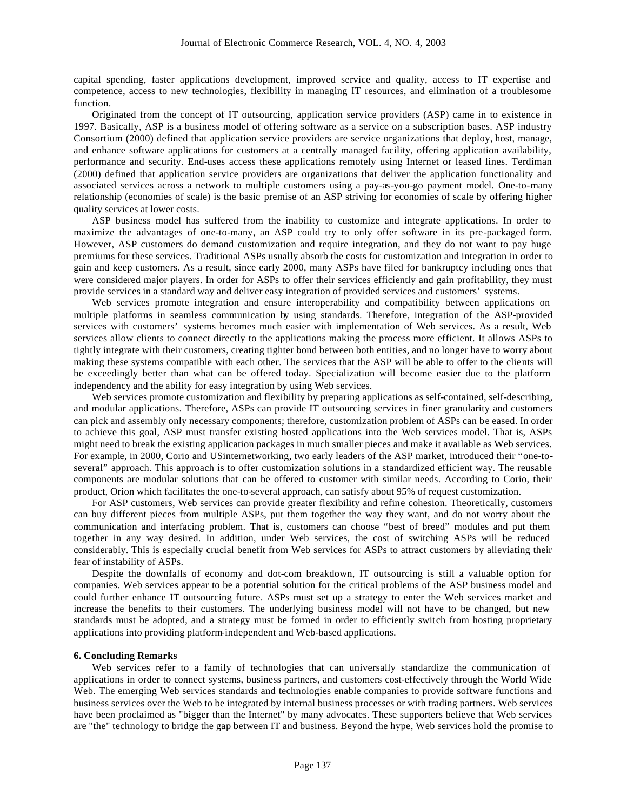capital spending, faster applications development, improved service and quality, access to IT expertise and competence, access to new technologies, flexibility in managing IT resources, and elimination of a troublesome function.

Originated from the concept of IT outsourcing, application service providers (ASP) came in to existence in 1997. Basically, ASP is a business model of offering software as a service on a subscription bases. ASP industry Consortium (2000) defined that application service providers are service organizations that deploy, host, manage, and enhance software applications for customers at a centrally managed facility, offering application availability, performance and security. End-uses access these applications remotely using Internet or leased lines. Terdiman (2000) defined that application service providers are organizations that deliver the application functionality and associated services across a network to multiple customers using a pay-as-you-go payment model. One-to-many relationship (economies of scale) is the basic premise of an ASP striving for economies of scale by offering higher quality services at lower costs.

ASP business model has suffered from the inability to customize and integrate applications. In order to maximize the advantages of one-to-many, an ASP could try to only offer software in its pre-packaged form. However, ASP customers do demand customization and require integration, and they do not want to pay huge premiums for these services. Traditional ASPs usually absorb the costs for customization and integration in order to gain and keep customers. As a result, since early 2000, many ASPs have filed for bankruptcy including ones that were considered major players. In order for ASPs to offer their services efficiently and gain profitability, they must provide services in a standard way and deliver easy integration of provided services and customers' systems.

Web services promote integration and ensure interoperability and compatibility between applications on multiple platforms in seamless communication by using standards. Therefore, integration of the ASP-provided services with customers' systems becomes much easier with implementation of Web services. As a result, Web services allow clients to connect directly to the applications making the process more efficient. It allows ASPs to tightly integrate with their customers, creating tighter bond between both entities, and no longer have to worry about making these systems compatible with each other. The services that the ASP will be able to offer to the clients will be exceedingly better than what can be offered today. Specialization will become easier due to the platform independency and the ability for easy integration by using Web services.

Web services promote customization and flexibility by preparing applications as self-contained, self-describing, and modular applications. Therefore, ASPs can provide IT outsourcing services in finer granularity and customers can pick and assembly only necessary components; therefore, customization problem of ASPs can be eased. In order to achieve this goal, ASP must transfer existing hosted applications into the Web services model. That is, ASPs might need to break the existing application packages in much smaller pieces and make it available as Web services. For example, in 2000, Corio and USinternetworking, two early leaders of the ASP market, introduced their "one-toseveral" approach. This approach is to offer customization solutions in a standardized efficient way. The reusable components are modular solutions that can be offered to customer with similar needs. According to Corio, their product, Orion which facilitates the one-to-several approach, can satisfy about 95% of request customization.

For ASP customers, Web services can provide greater flexibility and refine cohesion. Theoretically, customers can buy different pieces from multiple ASPs, put them together the way they want, and do not worry about the communication and interfacing problem. That is, customers can choose "best of breed" modules and put them together in any way desired. In addition, under Web services, the cost of switching ASPs will be reduced considerably. This is especially crucial benefit from Web services for ASPs to attract customers by alleviating their fear of instability of ASPs.

Despite the downfalls of economy and dot-com breakdown, IT outsourcing is still a valuable option for companies. Web services appear to be a potential solution for the critical problems of the ASP business model and could further enhance IT outsourcing future. ASPs must set up a strategy to enter the Web services market and increase the benefits to their customers. The underlying business model will not have to be changed, but new standards must be adopted, and a strategy must be formed in order to efficiently switch from hosting proprietary applications into providing platform-independent and Web-based applications.

#### **6. Concluding Remarks**

Web services refer to a family of technologies that can universally standardize the communication of applications in order to connect systems, business partners, and customers cost-effectively through the World Wide Web. The emerging Web services standards and technologies enable companies to provide software functions and business services over the Web to be integrated by internal business processes or with trading partners. Web services have been proclaimed as "bigger than the Internet" by many advocates. These supporters believe that Web services are "the" technology to bridge the gap between IT and business. Beyond the hype, Web services hold the promise to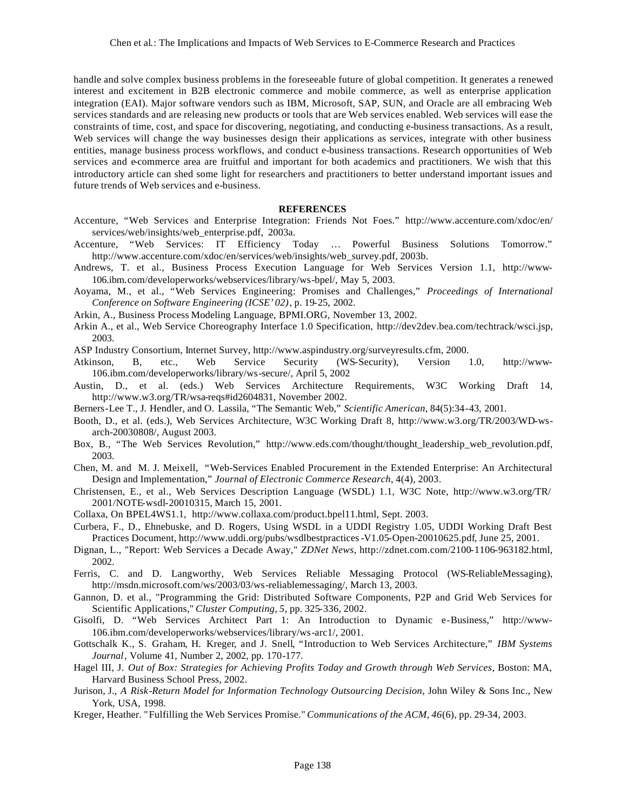handle and solve complex business problems in the foreseeable future of global competition. It generates a renewed interest and excitement in B2B electronic commerce and mobile commerce, as well as enterprise application integration (EAI). Major software vendors such as IBM, Microsoft, SAP, SUN, and Oracle are all embracing Web services standards and are releasing new products or tools that are Web services enabled. Web services will ease the constraints of time, cost, and space for discovering, negotiating, and conducting e-business transactions. As a result, Web services will change the way businesses design their applications as services, integrate with other business entities, manage business process workflows, and conduct e-business transactions. Research opportunities of Web services and e-commerce area are fruitful and important for both academics and practitioners. We wish that this introductory article can shed some light for researchers and practitioners to better understand important issues and future trends of Web services and e-business.

### **REFERENCES**

- Accenture, "Web Services and Enterprise Integration: Friends Not Foes." http://www.accenture.com/xdoc/en/ services/web/insights/web\_enterprise.pdf, 2003a.
- Accenture, "Web Services: IT Efficiency Today … Powerful Business Solutions Tomorrow." http://www.accenture.com/xdoc/en/services/web/insights/web\_survey.pdf, 2003b.
- Andrews, T. et al., Business Process Execution Language for Web Services Version 1.1, http://www-106.ibm.com/developerworks/webservices/library/ws-bpel/, May 5, 2003.
- Aoyama, M., et al., "Web Services Engineering: Promises and Challenges," *Proceedings of International Conference on Software Engineering (ICSE'02)*, p. 19-25, 2002.
- Arkin, A., Business Process Modeling Language, BPMI.ORG, November 13, 2002.
- Arkin A., et al., Web Service Choreography Interface 1.0 Specification, http://dev2dev.bea.com/techtrack/wsci.jsp, 2003.
- ASP Industry Consortium, Internet Survey, http://www.aspindustry.org/surveyresults.cfm, 2000.
- Atkinson, B, etc., Web Service Security (WS-Security), Version 1.0, http://www-106.ibm.com/developerworks/library/ws-secure/, April 5, 2002
- Austin, D., et al. (eds.) Web Services Architecture Requirements, W3C Working Draft 14, http://www.w3.org/TR/wsa-reqs#id2604831, November 2002.
- Berners-Lee T., J. Hendler, and O. Lassila, "The Semantic Web," *Scientific American*, 84(5):34-43, 2001.
- Booth, D., et al. (eds.), Web Services Architecture, W3C Working Draft 8, http://www.w3.org/TR/2003/WD-wsarch-20030808/, August 2003.
- Box, B., "The Web Services Revolution," http://www.eds.com/thought/thought\_leadership\_web\_revolution.pdf, 2003.
- Chen, M. and M. J. Meixell, "Web-Services Enabled Procurement in the Extended Enterprise: An Architectural Design and Implementation," *Journal of Electronic Commerce Research*, 4(4), 2003.
- Christensen, E., et al., Web Services Description Language (WSDL) 1.1, W3C Note, http://www.w3.org/TR/ 2001/NOTE-wsdl-20010315, March 15, 2001.
- Collaxa, On BPEL4WS1.1, http://www.collaxa.com/product.bpel11.html, Sept. 2003.
- Curbera, F., D., Ehnebuske, and D. Rogers, Using WSDL in a UDDI Registry 1.05, UDDI Working Draft Best Practices Document, http://www.uddi.org/pubs/wsdlbestpractices-V1.05-Open-20010625.pdf, June 25, 2001.
- Dignan, L., "Report: Web Services a Decade Away," *ZDNet News*, http://zdnet.com.com/2100-1106-963182.html, 2002.
- Ferris, C. and D. Langworthy, Web Services Reliable Messaging Protocol (WS-ReliableMessaging), http://msdn.microsoft.com/ws/2003/03/ws-reliablemessaging/, March 13, 2003.
- Gannon, D. et al., "Programming the Grid: Distributed Software Components, P2P and Grid Web Services for Scientific Applications," *Cluster Computing*, *5*, pp. 325-336, 2002.
- Gisolfi, D. "Web Services Architect Part 1: An Introduction to Dynamic e-Business," http://www-106.ibm.com/developerworks/webservices/library/ws-arc1/, 2001.
- Gottschalk K., S. Graham, H. Kreger, and J. Snell, "Introduction to Web Services Architecture," *IBM Systems Journal*, Volume 41, Number 2, 2002, pp. 170-177.
- Hagel III, J. *Out of Box: Strategies for Achieving Profits Today and Growth through Web Services*, Boston: MA, Harvard Business School Press, 2002.
- Jurison, J., *A Risk-Return Model for Information Technology Outsourcing Decision*, John Wiley & Sons Inc., New York, USA, 1998.
- Kreger, Heather. "Fulfilling the Web Services Promise." *Communications of the ACM*, *46*(6), pp. 29-34, 2003.